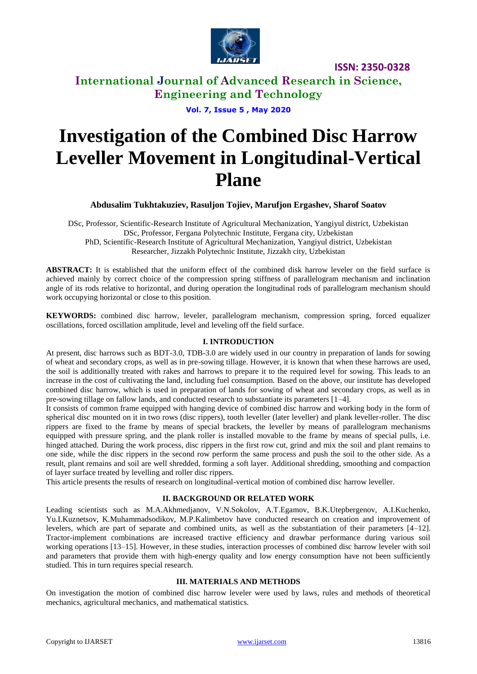

**International Journal of Advanced Research in Science, Engineering and Technology**

**Vol. 7, Issue 5 , May 2020**

# **Investigation of the Combined Disc Harrow Leveller Movement in Longitudinal-Vertical Plane**

**Abdusalim Tukhtakuziev, Rasuljon Tojiev, Marufjon Ergashev, Sharof Soatov**

DSc, Professor, Scientific-Research Institute of Agricultural Mechanization, Yangiyul district, Uzbekistan DSc, Professor, Fergana Polytechnic Institute, Fergana city, Uzbekistan PhD, Scientific-Research Institute of Agricultural Mechanization, Yangiyul district, Uzbekistan Researcher, Jizzakh Polytechnic Institute, Jizzakh city, Uzbekistan

**ABSTRACT:** It is established that the uniform effect of the combined disk harrow leveler on the field surface is achieved mainly by correct choice of the compression spring stiffness of parallelogram mechanism and inclination angle of its rods relative to horizontal, and during operation the longitudinal rods of parallelogram mechanism should work occupying horizontal or close to this position.

**KEYWORDS:** combined disc harrow, leveler, parallelogram mechanism, compression spring, forced equalizer oscillations, forced oscillation amplitude, level and leveling off the field surface.

## **I. INTRODUCTION**

At present, disc harrows such as BDT-3.0, TDB-3.0 are widely used in our country in preparation of lands for sowing of wheat and secondary crops, as well as in pre-sowing tillage. However, it is known that when these harrows are used, the soil is additionally treated with rakes and harrows to prepare it to the required level for sowing. This leads to an increase in the cost of cultivating the land, including fuel consumption. Based on the above, our institute has developed combined disc harrow, which is used in preparation of lands for sowing of wheat and secondary crops, as well as in pre-sowing tillage on fallow lands, and conducted research to substantiate its parameters [1–4].

It consists of common frame equipped with hanging device of combined disc harrow and working body in the form of spherical disc mounted on it in two rows (disc rippers), tooth leveller (later leveller) and plank leveller-roller. The disc rippers are fixed to the frame by means of special brackets, the leveller by means of parallelogram mechanisms equipped with pressure spring, and the plank roller is installed movable to the frame by means of special pulls, i.e. hinged attached. During the work process, disc rippers in the first row cut, grind and mix the soil and plant remains to one side, while the disc rippers in the second row perform the same process and push the soil to the other side. As a result, plant remains and soil are well shredded, forming a soft layer. Additional shredding, smoothing and compaction of layer surface treated by levelling and roller disc rippers.

This article presents the results of research on longitudinal-vertical motion of combined disc harrow leveller.

## **II. BACKGROUND OR RELATED WORK**

Leading scientists such as M.A.Akhmedjanov, V.N.Sokolov, A.T.Egamov, B.K.Utepbergenov, A.I.Kuchenko, Yu.I.Kuznetsov, K.Muhammadsodikov, M.P.Kalimbetov have conducted research on creation and improvement of levelers, which are part of separate and combined units, as well as the substantiation of their parameters [4–12]. Tractor-implement combinations are increased tractive efficiency and drawbar performance during various soil working operations [13–15]. However, in these studies, interaction processes of combined disc harrow leveler with soil and parameters that provide them with high-energy quality and low energy consumption have not been sufficiently studied. This in turn requires special research.

## **III. MATERIALS AND METHODS**

On investigation the motion of combined disc harrow leveler were used by laws, rules and methods of theoretical mechanics, agricultural mechanics, and mathematical statistics.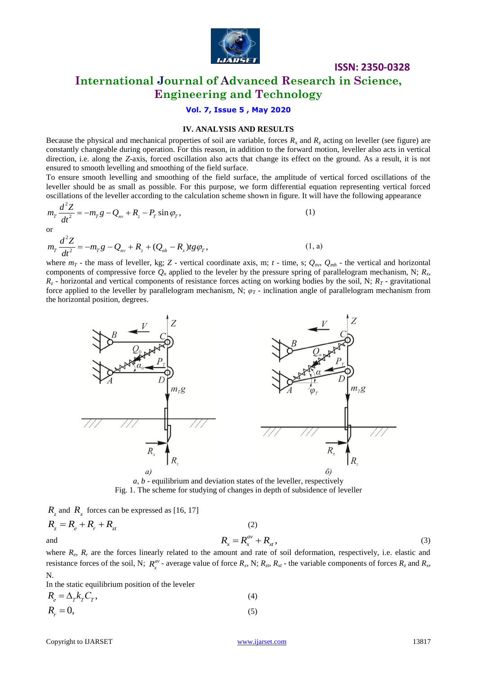

## **ISSN: 2350-0328 International Journal of Advanced Research in Science, Engineering and Technology**

## **Vol. 7, Issue 5 , May 2020**

#### **IV. ANALYSIS AND RESULTS**

Because the physical and mechanical properties of soil are variable, forces  $R_x$  and  $R_z$  acting on leveller (see figure) are constantly changeable during operation. For this reason, in addition to the forward motion, leveller also acts in vertical direction, i.e. along the *Z*-axis, forced oscillation also acts that change its effect on the ground. As a result, it is not ensured to smooth levelling and smoothing of the field surface.

To ensure smooth levelling and smoothing of the field surface, the amplitude of vertical forced oscillations of the leveller should be as small as possible. For this purpose, we form differential equation representing vertical forced

oscillations of the leveller according to the calculation scheme shown in figure. It will have the following appearance\n
$$
m_T \frac{d^2 Z}{dt^2} = -m_T g - Q_m + R_z - P_T \sin \varphi_T,
$$
\n(1)\nor\n
$$
m_T \frac{d^2 Z}{dt^2} = -m_T g - Q_m + R_z + (Q_{nh} - R_x) t g \varphi_T,
$$
\n(1, a)

or  
\n
$$
m_{T} \frac{d^{2} Z}{dt^{2}} = -m_{T} g - Q_{nv} + R_{z} + (Q_{nh} - R_{x}) t g \varphi_{T},
$$
\n(1, a)

where  $m_T$  - the mass of leveller, kg; Z - vertical coordinate axis, m;  $t$  - time, s;  $Q_{nv}$ ,  $Q_{mh}$  - the vertical and horizontal components of compressive force  $Q_n$  applied to the leveler by the pressure spring of parallelogram mechanism, N;  $R_x$ ,  $R_z$  - horizontal and vertical components of resistance forces acting on working bodies by the soil, N;  $R_T$  - gravitational force applied to the leveller by parallelogram mechanism, N;  $\varphi_T$  - inclination angle of parallelogram mechanism from the horizontal position, degrees.



*a, b* - equilibrium and deviation states of the leveller, respectively Fig. 1. The scheme for studying of changes in depth of subsidence of leveller

 $R_z$  and  $R_x$  forces can be expressed as [16, 17]

$$
R_{z} = R_{e} + R_{r} + R_{zt}
$$
\n(2)\nand\n
$$
R_{x} = R_{x}^{av} + R_{xt},
$$
\n(3)

where  $R_e$ ,  $R_r$  are the forces linearly related to the amount and rate of soil deformation, respectively, i.e. elastic and resistance forces of the soil, N;  $R_x^{av}$  - average value of force  $R_x$ , N;  $R_z$ ,  $R_x$  - the variable components of forces  $R_z$  and  $R_x$ , N.

In the static equilibrium position of the leveler

$$
R_e = \Delta_T k_T C_T, \tag{4}
$$
  

$$
R_r = 0, \tag{5}
$$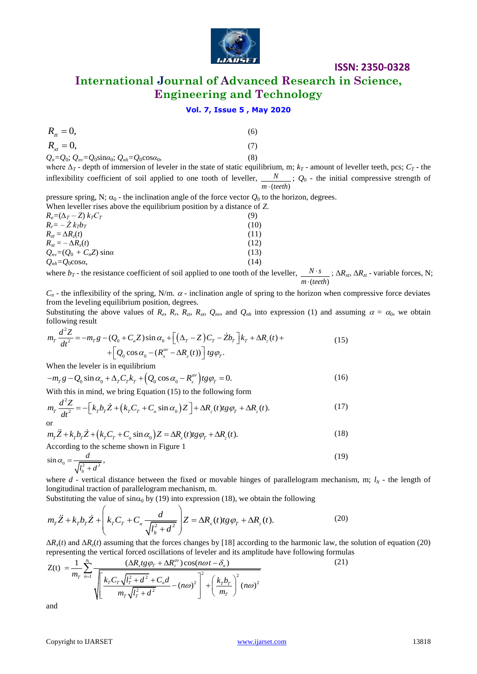

**International Journal of Advanced Research in Science, Engineering and Technology**

## **Vol. 7, Issue 5 , May 2020**

| $R_{_{7t}} = 0,$ | (6) |
|------------------|-----|
| $R_{x} = 0,$     | (7) |

| $Q_n = Q_0$ ; $Q_{nv} = Q_0 \sin \alpha_0$ ; $Q_{nh} = Q_0 \cos \alpha_0$ , |  |
|-----------------------------------------------------------------------------|--|
|                                                                             |  |

where  $\Delta_T$  - depth of immersion of leveler in the state of static equilibrium, m;  $k_T$  - amount of leveller teeth, pcs;  $C_T$  - the inflexibility coefficient of soil applied to one tooth of leveller,  $( *teeth*)$ *N m teeth* ; *Q*<sup>0</sup> - the initial compressive strength of

pressure spring, N;  $\alpha_0$  - the inclination angle of the force vector  $Q_0$  to the horizon, degrees. When leveller rises above the equilibrium position by a distance of *Z*.

| $R_e = (\Delta_T - Z) k_T C_T$       | (9)  |
|--------------------------------------|------|
| $R_r = -Z k_T b_T$                   | (10) |
| $R_{\tau t} = \Delta R_{\tau}(t)$    | (11) |
| $R_{rt} = -\Delta R_r(t)$            | (12) |
| $Q_{nv} = (Q_0 + C_n Z) \sin \alpha$ | (13) |
| $Q_{nh} = Q_0 \cos \alpha$ ,         | (14) |

where  $b_T$  - the resistance coefficient of soil applied to one tooth of the leveller,  $( *teeth*)$  $N \cdot s$ *m teeth*  $\ddot{\phantom{0}}$  $\cdot$ ;  $\Delta R_{xt}$ ,  $\Delta R_{zt}$  - variable forces, N;

 $C_n$  - the inflexibility of the spring, N/m.  $\alpha$  - inclination angle of spring to the horizon when compressive force deviates from the leveling equilibrium position, degrees.

Substituting the above values of  $R_e$ ,  $R_r$ ,  $R_{zt}$ ,  $R_{xt}$ ,  $Q_{nv}$ , and  $Q_{nh}$  into expression (1) and assuming  $\alpha = \alpha_0$ , we obtain following result<br>following result<br> $m_r \frac{d^2 Z}{dt^2} = -m_T g - (Q_0 + C_n Z) \sin \alpha_0 + [(\Delta_T - Z)C_T - Zb_T]k_T$ following result  $2 -$ 

$$
m_{\tau} \frac{d^2 Z}{dt^2} = -m_{\tau} g - (Q_0 + C_n Z) \sin \alpha_0 + \left[ (\Delta_T - Z) C_T - Z b_{\tau} \right] k_{\tau} + \Delta R_z(t) +
$$
  
+ 
$$
\left[ Q_0 \cos \alpha_0 - (R_x^{av} - \Delta R_x(t)) \right] t g \varphi_{\tau}.
$$

When the leveler is in equilibrium

When the leveler is in equilibrium  
\n
$$
-m_T g - Q_0 \sin \alpha_0 + \Delta_T C_T k_T + \left(Q_0 \cos \alpha_0 - R_x^{\alpha\nu}\right) t g \varphi_T = 0.
$$
\n(16)

With this in mind, we bring Equation (15) to the following form

$$
-m_T g - Q_0 \sin \alpha_0 + \Delta_T C_T k_T + (Q_0 \cos \alpha_0 - R_x^{\alpha\nu}) t g \varphi_T = 0.
$$
\n
$$
\text{With this in mind, we bring Equation (15) to the following form}
$$
\n
$$
m_T \frac{d^2 Z}{dt^2} = -\left[k_T b_T \dot{Z} + \left(k_T C_T + C_n \sin \alpha_0\right) Z\right] + \Delta R_z(t) t g \varphi_T + \Delta R_z(t).
$$
\n
$$
\text{or}
$$
\n
$$
m_T \ddot{Z} + k_T b_T \dot{Z} + \left(k_T C_T + C_n \sin \alpha_0\right) Z = \Delta R_x(t) t g \varphi_T + \Delta R_z(t).
$$
\n
$$
\tag{18}
$$

$$
m_r \ddot{Z} + k_r b_r \dot{Z} + (k_r C_r + C_n \sin \alpha_0) Z = \Delta R_x(t) t g \varphi_r + \Delta R_z(t).
$$
\n
$$
\text{According to the scheme shown in Figure 1} \tag{18}
$$

$$
\sin \alpha_0 = \frac{d}{\sqrt{l_u^2 + d^2}},\tag{19}
$$

where  $d$  - vertical distance between the fixed or movable hinges of parallelogram mechanism, m;  $l_t$  - the length of longitudinal traction of parallelogram mechanism, m. on of parallelogram mechanism, m.<br>alue of sin $\alpha_0$  by (19) into expression<br> $\begin{pmatrix} d \\ k & R \end{pmatrix}$   $\begin{pmatrix} z - AB & C \end{pmatrix}$ 

Substituting the value of 
$$
\sin \alpha_0
$$
 by (19) into expression (18), we obtain the following

\n
$$
m_T \ddot{Z} + k_T b_T \dot{Z} + \left(k_T C_T + C_n \frac{d}{\sqrt{l_H^2 + d^2}}\right) Z = \Delta R_x(t) t g \varphi_T + \Delta R_z(t).
$$
\n(20)

\nAD (i) and AB (i) determine that the forces there are large values to the Lagrangian to the harmonic law, the

 $\Delta R_x(t)$  and  $\Delta R_z(t)$  assuming that the forces changes by [18] according to the harmonic law, the solution of equation (20) representing the vertical forced oscillations of leveler and its amplitude have following formula

$$
R_{\alpha} = 0, \qquad (6)
$$
  
\n
$$
R_{\alpha} = 0, \qquad (7)
$$
  
\n
$$
Q_{\alpha} = Q_{\alpha} = Q_{\beta} \sin \alpha_{\alpha}; Q_{\alpha} = Q_{\beta} \cos \alpha_{\alpha}
$$
  
\n
$$
Q_{\alpha} = Q_{\beta} \sin \alpha_{\alpha}; Q_{\alpha} = \theta_{\beta} \cos \alpha_{\alpha}
$$
  
\nwhere  $\Delta_T$ - depth of dimension of leveler in the state of static equilibrium, m;  $k_T$ - amount of leveler test,  
\ninflexibility coefficient of soil applied to one tooth of leveler,  $\frac{N}{m \cdot (real)}$   
\nWe have leveler rises above the equilibrium position by a distance of Z.  
\nWhen leveler gives above the equilibrium position by a distance of Z.  
\n
$$
R_{\alpha} = -Z_{\alpha}k_{\alpha}
$$
  
\n
$$
R_{\alpha} = -Z_{\alpha}k_{\alpha}
$$
  
\n
$$
Q_{\alpha} = -Z_{\alpha}k_{\alpha}
$$
  
\n
$$
Q_{\alpha} = Q_{\alpha} \cos \alpha,
$$
  
\n
$$
Q_{\alpha} = Q_{\alpha} \cos \alpha,
$$
  
\n
$$
Q_{\alpha} = Q_{\alpha} \cos \alpha,
$$
  
\n
$$
Q_{\alpha} = Q_{\alpha} \cos \alpha
$$
  
\n
$$
Q_{\alpha} = Q_{\alpha} \cos \alpha
$$
  
\n
$$
Q_{\alpha} = Q_{\alpha} \cos \alpha
$$
  
\n
$$
Q_{\alpha} = R_{\alpha} \cos \alpha
$$
  
\n
$$
R_{\alpha} = \frac{\partial Q_{\alpha}}{\partial \alpha} = -R_{\alpha}Q_{\alpha} + C_{\alpha}Z_{\alpha}
$$
  
\n
$$
R_{\alpha} = \frac{\partial Q_{\alpha}}{\partial \alpha} = -R_{\alpha}Q_{\alpha} + C_{\alpha}Z_{\alpha}
$$
  
\n
$$
R_{\alpha} = \frac{\partial Q_{\alpha}}{\partial \alpha} = -R_{\alpha}Q_{\alpha} + C_{\alpha}Z_{\alpha}
$$
  
\n
$$
R_{\alpha} = \frac{\partial Q_{\alpha}}{\partial \alpha} = -R_{\alpha}Q_{\alpha} + C_{\alpha}Z_{\alpha}
$$
  
\n
$$
R_{\alpha} = \
$$

and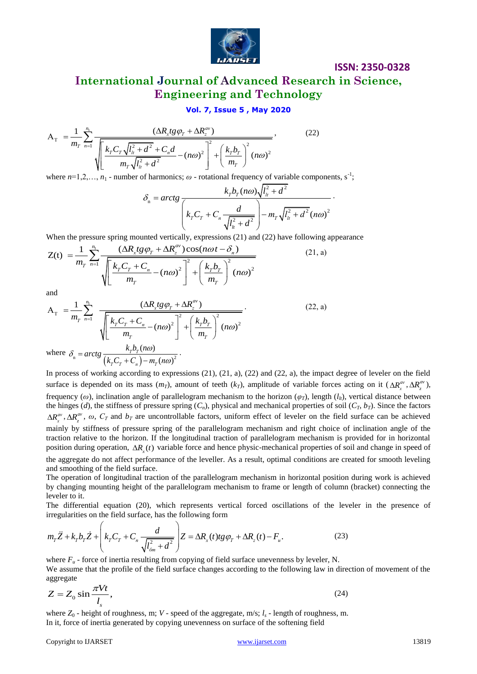

 $(22)$ 

**International Journal of Advanced Research in Science, Engineering and Technology**

$$
\mathbf{Vol. 7, Issue 5, May 2020}
$$
\n
$$
A_{\mathrm{T}} = \frac{1}{m_{\mathrm{T}}} \sum_{n=1}^{n_{\mathrm{I}}} \frac{(\Delta R_{x} t g \varphi_{\mathrm{T}} + \Delta R_{z}^{av})}{\sqrt{\left[\frac{k_{\mathrm{T}} C_{\mathrm{T}} \sqrt{l_{\mathrm{h}}^{2} + d^{2}} + C_{n} d}{m_{\mathrm{T}} \sqrt{l_{\mathrm{h}}^{2} + d^{2}} - (n \omega)^{2}}\right]^{2} + \left(\frac{k_{\mathrm{T}} b_{\mathrm{T}}}{m_{\mathrm{T}}}\right)^{2} (n \omega)^{2}}},
$$

where  $n=1,2,..., n_1$  - number of harmonics;  $\omega$  - rotational frequency of variable components, s<sup>-1</sup>;<br>  $\frac{k}{\omega} \frac{h}{\omega^2} (n\omega) \sqrt{l^2 + d^2}$ 

of harmonics; 
$$
\omega
$$
 - rotational frequency of variable components,  
\n
$$
\delta_n = \arctg \frac{k_r b_r (n\omega) \sqrt{l_u^2 + d^2}}{\left(k_r C_r + C_n \frac{d}{\sqrt{l_u^2 + d^2}}\right) - m_r \sqrt{l_u^2 + d^2} (n\omega)^2}.
$$

When the pressure spring mounted vertically, expressions (21) and (22) have following appearance

When the pressure spring mounted vertically, expressions (21) and (22) have following  
\n
$$
Z(t) = \frac{1}{m_T} \sum_{n=1}^{n_1} \frac{(\Delta R_x t g \varphi_T + \Delta R_z^{av}) \cos(n\omega t - \delta_n)}{\sqrt{\left[\frac{k_T C_T + C_n}{m_T} - (n\omega)^2\right]^2 + \left(\frac{k_T b_T}{m_T}\right)^2 (n\omega)^2}}
$$
\n(21, a)

and

and  
\n
$$
A_{T} = \frac{1}{m_{T}} \sum_{n=1}^{n_{1}} \frac{(\Delta R_{x} t g \varphi_{T} + \Delta R_{z}^{av})}{\sqrt{\left[\frac{k_{T} C_{T} + C_{n}}{m_{T}} - (n\omega)^{2}\right]^{2} + \left(\frac{k_{T} b_{T}}{m_{T}}\right)^{2} (n\omega)^{2}}}
$$
\nwhere  $\delta_{n} = \arctg \frac{k_{T} b_{T} (n\omega)}{(k_{T} C_{T} + C_{n}) - m_{T} (n\omega)^{2}}$ . (22, a)

In process of working according to expressions (21), (21, a), (22) and (22, a), the impact degree of leveler on the field surface is depended on its mass  $(m_T)$ , amount of teeth  $(k_T)$ , amplitude of variable forces acting on it  $(\Delta R_x^{av}, \Delta R_z^{av})$ , frequency ( $\omega$ ), inclination angle of parallelogram mechanism to the horizon ( $\varphi_T$ ), length ( $l_t$ ), vertical distance between the hinges (*d*), the stiffness of pressure spring  $(C_n)$ , physical and mechanical properties of soil  $(C_T, b_T)$ . Since the factors  $\Delta R_x^{av}$ ,  $\Delta R_z^{av}$ ,  $\omega$ ,  $C_T$  and  $b_T$  are uncontrollable factors, uniform effect of leveler on the field surface can be achieved mainly by stiffness of pressure spring of the parallelogram mechanism and right choice of inclination angle of the traction relative to the horizon. If the longitudinal traction of parallelogram mechanism is provided for in horizontal position during operation,  $\Delta R_{x}(t)$  variable force and hence physic-mechanical properties of soil and change in speed of the aggregate do not affect performance of the leveller. As a result, optimal conditions are created for smooth leveling and smoothing of the field surface.

The operation of longitudinal traction of the parallelogram mechanism in horizontal position during work is achieved by changing mounting height of the parallelogram mechanism to frame or length of column (bracket) connecting the leveler to it.

The differential equation (20), which represents vertical forced oscillations of the leveler in the presence of equation (20), which represents<br>the field surface, has the following for<br> $\begin{pmatrix} 1 & 0 \\ k & 0 \end{pmatrix}$   $\begin{pmatrix} 1 & 0 \\ 7 & 10 \end{pmatrix}$   $\begin{pmatrix} 2 & 0 \\ 7 & 1 \end{pmatrix}$ 

The differential equation (20), which represents vertical forced oscillations of the lev-  
irregularities on the field surface, has the following form  

$$
m_T \ddot{Z} + k_T b_T \dot{Z} + \left(k_T C_T + C_n \frac{d}{\sqrt{l_{6m}^2 + d^2}}\right) Z = \Delta R_x(t)tg\varphi_T + \Delta R_z(t) - F_u.
$$
(23)

where  $F<sub>u</sub>$  - force of inertia resulting from copying of field surface unevenness by leveler, N. We assume that the profile of the field surface changes according to the following law in direction of movement of the aggregate

$$
Z = Z_0 \sin \frac{\pi V t}{l_s},\tag{24}
$$

where *Z*<sup>0</sup> - height of roughness, m; *V* - speed of the aggregate, m/s; *l<sup>s</sup>* - length of roughness, m. In it, force of inertia generated by copying unevenness on surface of the softening field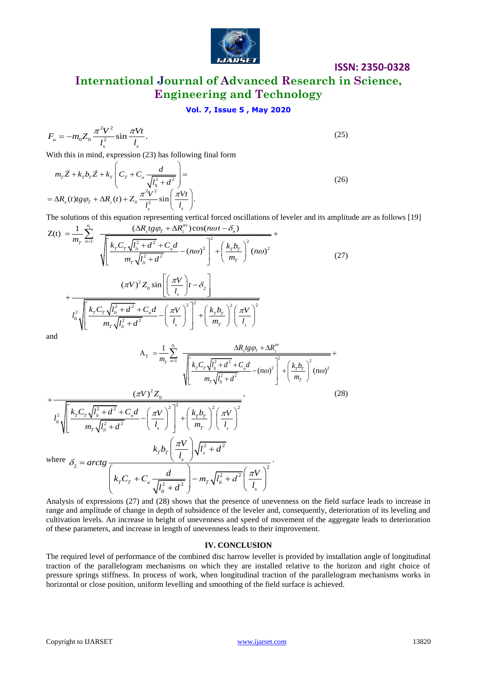

## **International Journal of Advanced Research in Science, Engineering and Technology**

## **Vol. 7, Issue 5 , May 2020**

$$
F_u = -m_0 Z_0 \frac{\pi^2 V^2}{l_s^2} \sin \frac{\pi V t}{l_s}.
$$
\n(25)

With this in mind, expression (23) has following final form

with this in mind, expression (25) has following that form  
\n
$$
m_{\tau}\ddot{Z} + k_{\tau}b_{\tau}\dot{Z} + k_{\tau}\left(C_{\tau} + C_{n}\frac{d}{\sqrt{l_{\mu}^{2} + d^{2}}}\right) =
$$
\n
$$
= \Delta R_{x}(t)tg\varphi_{\tau} + \Delta R_{z}(t) + Z_{0}\frac{\pi^{2}V^{2}}{l_{s}^{2}}\sin\left(\frac{\pi Vt}{l_{s}}\right).
$$
\nThe solutions of this equation representing vertical forced oscillations of leveler and its amplitude  
\n
$$
Z(t) = \frac{1}{m_{\tau}}\sum_{n=1}^{n_{1}} \frac{(\Delta R_{x}tg\varphi_{\tau} + \Delta R_{z}^{av})\cos(n\omega t - \delta_{n})}{\sqrt{1-\frac{(\Delta R_{x}tg\varphi_{\tau})^{2}}{l_{s}^{2}}}} +
$$
\n(26)

The solutions of this equation representing vertical forced oscillations of leveler and its amplitude are as follows [19]  $1 \qquad n_1$ 

The solutions of this equation representing vertical forced oscillations of leveler and its amplitude  
\n
$$
Z(t) = \frac{1}{m_r} \sum_{n=1}^{n_1} \frac{(\Delta R_x t g \varphi_T + \Delta R_z^{av}) \cos(n\omega t - \delta_n)}{\sqrt{\left[\frac{k_r C_r \sqrt{l_h^2 + d^2} + C_n d}{m_r \sqrt{l_h^2 + d^2}} - (n\omega)^2\right]^2 + \left(\frac{k_r b_r}{m_r}\right)^2 (n\omega)^2}}
$$
\n
$$
+ \frac{(\pi V)^2 Z_0 \sin\left[\left(\frac{\pi V}{l_s}\right)t - \delta_2\right]}{m_r \sqrt{l_h^2 + d^2} + C_n d} - \left(\frac{\pi V}{l_s}\right)^2 + \left(\frac{k_r b_r}{m_r}\right)^2 \left(\frac{\pi V}{l_s}\right)^2}
$$
\nand  
\n
$$
A_r = \frac{1}{m_r} \sum_{n=1}^{n_1} \frac{\Delta R_x t g \varphi_T + \Delta R_z^{av}}{\sqrt{\left[\frac{k_r^2}{l_s} + d^2\right]^2 + \left(\frac{\pi V}{l_s}\right)^2}} + \frac{\Delta R_x t g \varphi_T + \Delta R_z^{av}}{\sqrt{\left[\frac{k_r^2}{l_s} + d^2\right]^2 + \left(\frac{\pi V}{l_s}\right)^2}} + \frac{\Delta R_x t g \varphi_T + \Delta R_z^{av}}{\sqrt{\left[\frac{k_r^2}{l_s} + d^2\right]^2 + \left(\frac{\pi V}{l_s}\right)^2}} + \frac{\Delta R_x t g \varphi_T + \Delta R_z^{av}}{\sqrt{\left[\frac{k_r^2}{l_s} + d^2\right]^2 + \left(\frac{\pi V}{l_s}\right)^2}} + \frac{\Delta R_x t g \varphi_T + \Delta R_z^{av}}{\sqrt{\left[\frac{k_r^2}{l_s} + d^2\right]^2 + \left(\frac{\pi V}{l_s}\right)^2 + \left(\frac{\pi V}{l_s}\right)^2}}}
$$

and

 $\overline{+}$ 

$$
A_{T} = \frac{1}{m_{T}} \sum_{n=1}^{n_{1}} \frac{\Delta R_{x} t g \varphi_{T} + \Delta R_{z}^{av}}{\sqrt{\left[\frac{k_{T} C_{T} \sqrt{l_{u}^{2} + d^{2} + C_{n} d}}{m_{T} \sqrt{l_{u}^{2} + d^{2}} - (n\omega)^{2}}\right]^{2} + \left(\frac{k_{T} b_{T}}{m_{T}}\right)^{2} (n\omega)^{2}} + \frac{(\pi V)^{2} Z_{0}}{l_{u}^{2} \sqrt{\left[\frac{k_{T} C_{T} \sqrt{l_{u}^{2} + d^{2} + C_{n} d}}{m_{T} \sqrt{l_{u}^{2} + d^{2}} - \left(\frac{\pi V}{l_{s}}\right)^{2}\right]^{2} + \left(\frac{k_{T} b_{T}}{m_{T}}\right)^{2} \left(\frac{\pi V}{l_{s}}\right)^{2}}}, \qquad (28)
$$
\n
$$
k_{T} b_{T} \left(\frac{\pi V}{l_{s}}\right) \sqrt{l_{s}^{2} + d^{2}}
$$
\n
$$
k_{T} b_{T} \left(\frac{\pi V}{l_{s}}\right) \sqrt{l_{s}^{2} + d^{2}}
$$
\n
$$
k_{T} c_{T} + C_{n} \frac{d}{\sqrt{l_{u}^{2} + d^{2}}} - m_{T} \sqrt{l_{u}^{2} + d^{2} \left(\frac{\pi V}{l_{s}}\right)^{2}}.
$$

where 
$$
\delta_2 = \operatorname{arctg} \frac{1}{k_r C}
$$

Analysis of expressions (27) and (28) shows that the presence of unevenness on the field surface leads to increase in range and amplitude of change in depth of subsidence of the leveler and, consequently, deterioration of its leveling and cultivation levels. An increase in height of unevenness and speed of movement of the aggregate leads to deterioration of these parameters, and increase in length of unevenness leads to their improvement.

#### **IV. CONCLUSION**

The required level of performance of the combined disc harrow leveller is provided by installation angle of longitudinal traction of the parallelogram mechanisms on which they are installed relative to the horizon and right choice of pressure springs stiffness. In process of work, when longitudinal traction of the parallelogram mechanisms works in horizontal or close position, uniform levelling and smoothing of the field surface is achieved.